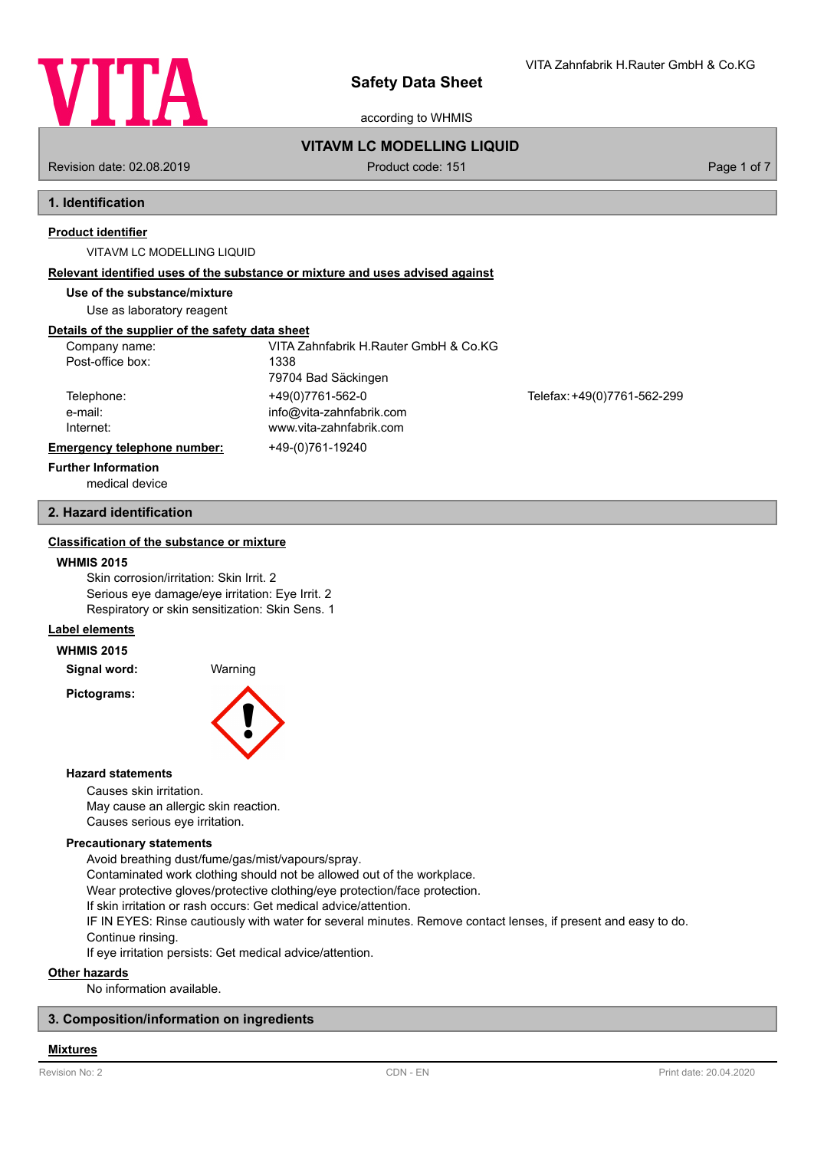

according to WHMIS

## **VITAVM LC MODELLING LIQUID**

Revision date: 02.08.2019 **Product code: 151** Product code: 151 **Page 1 of 7** Page 1 of 7

VITA Zahnfabrik H.Rauter GmbH & Co.KG

## **1. Identification**

## **Product identifier**

### VITAVM LC MODELLING LIQUID

### **Relevant identified uses of the substance or mixture and uses advised against**

## **Use of the substance/mixture**

Use as laboratory reagent

## **Details of the supplier of the safety data sheet**

| Company name:               | VITA Zahnfabrik H.Rauter GmbH & Co.KG |                             |
|-----------------------------|---------------------------------------|-----------------------------|
| Post-office box:            | 1338                                  |                             |
|                             | 79704 Bad Säckingen                   |                             |
| Telephone:                  | +49(0)7761-562-0                      | Telefax: +49(0)7761-562-299 |
| e-mail:                     | info@vita-zahnfabrik.com              |                             |
| Internet:                   | www.vita-zahnfabrik.com               |                             |
| Emergency telephone number: | +49-(0)761-19240                      |                             |
| <b>Further Information</b>  |                                       |                             |

medical device

# **2. Hazard identification**

## **Classification of the substance or mixture**

#### **WHMIS 2015**

Skin corrosion/irritation: Skin Irrit. 2 Serious eye damage/eye irritation: Eye Irrit. 2 Respiratory or skin sensitization: Skin Sens. 1

## **Label elements**

## **WHMIS 2015**

**Signal word:** Warning

**Pictograms:**



### **Hazard statements**

Causes skin irritation. May cause an allergic skin reaction. Causes serious eye irritation.

### **Precautionary statements**

Avoid breathing dust/fume/gas/mist/vapours/spray. Contaminated work clothing should not be allowed out of the workplace. Wear protective gloves/protective clothing/eye protection/face protection. If skin irritation or rash occurs: Get medical advice/attention. IF IN EYES: Rinse cautiously with water for several minutes. Remove contact lenses, if present and easy to do. Continue rinsing. If eye irritation persists: Get medical advice/attention.

**Other hazards**

No information available.

## **3. Composition/information on ingredients**

#### **Mixtures**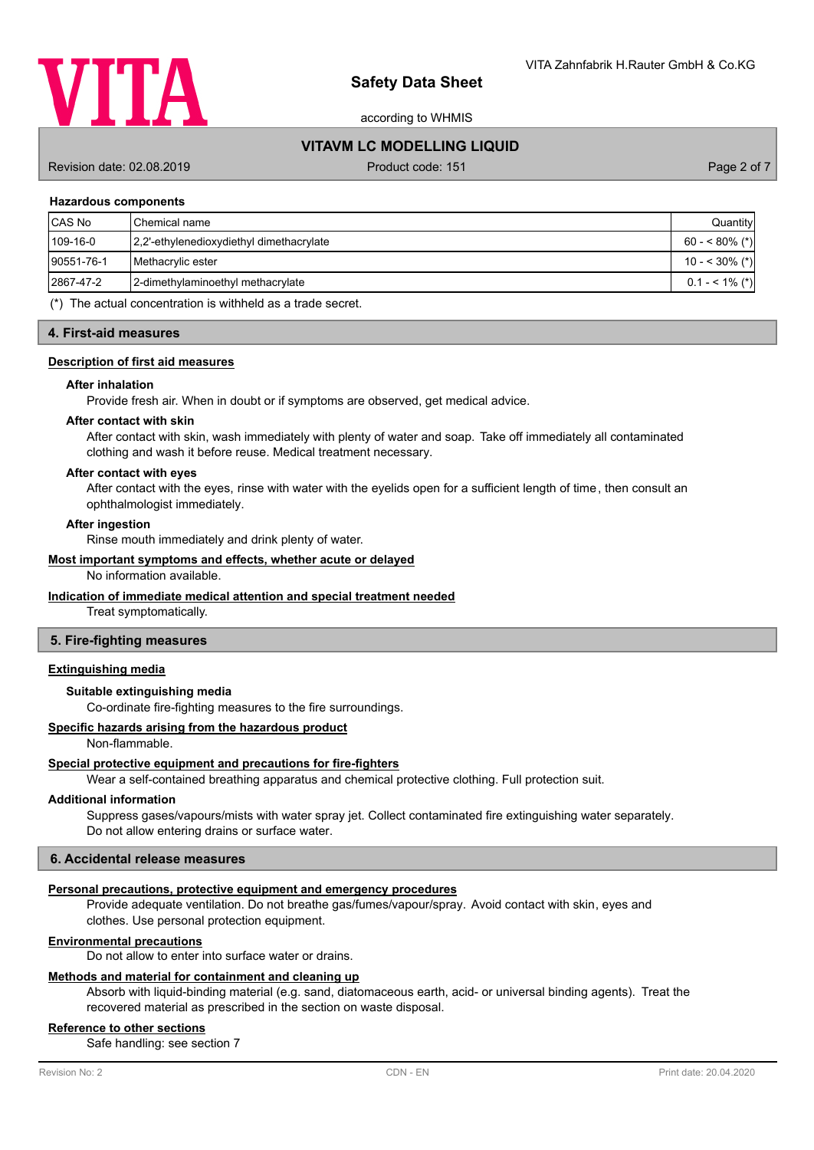

according to WHMIS

## **VITAVM LC MODELLING LIQUID**

Revision date: 02.08.2019 **Product code: 151** Product code: 151 **Page 2 of 7** Page 2 of 7

#### **Hazardous components**

| CAS No     | <b>I</b> Chemical name                    | Quantity          |
|------------|-------------------------------------------|-------------------|
| $109-16-0$ | 12.2'-ethylenedioxydiethyl dimethacrylate | $60 - 80\%$ (*)   |
| 90551-76-1 | <b>I</b> Methacrylic ester                | 10 - < 30% (*)    |
| 2867-47-2  | 2-dimethylaminoethyl methacrylate         | $0.1 - 5.1\%$ (*) |

(\*) The actual concentration is withheld as a trade secret.

#### **4. First-aid measures**

### **Description of first aid measures**

#### **After inhalation**

Provide fresh air. When in doubt or if symptoms are observed, get medical advice.

## **After contact with skin**

After contact with skin, wash immediately with plenty of water and soap. Take off immediately all contaminated clothing and wash it before reuse. Medical treatment necessary.

### **After contact with eyes**

After contact with the eyes, rinse with water with the eyelids open for a sufficient length of time, then consult an ophthalmologist immediately.

#### **After ingestion**

Rinse mouth immediately and drink plenty of water.

#### **Most important symptoms and effects, whether acute or delayed**

No information available.

## **Indication of immediate medical attention and special treatment needed**

Treat symptomatically.

### **5. Fire-fighting measures**

### **Extinguishing media**

## **Suitable extinguishing media**

Co-ordinate fire-fighting measures to the fire surroundings.

### **Specific hazards arising from the hazardous product**

Non-flammable.

#### **Special protective equipment and precautions for fire-fighters**

Wear a self-contained breathing apparatus and chemical protective clothing. Full protection suit.

## **Additional information**

Suppress gases/vapours/mists with water spray jet. Collect contaminated fire extinguishing water separately. Do not allow entering drains or surface water.

## **6. Accidental release measures**

#### **Personal precautions, protective equipment and emergency procedures**

Provide adequate ventilation. Do not breathe gas/fumes/vapour/spray. Avoid contact with skin, eyes and clothes. Use personal protection equipment.

#### **Environmental precautions**

Do not allow to enter into surface water or drains.

#### **Methods and material for containment and cleaning up**

Absorb with liquid-binding material (e.g. sand, diatomaceous earth, acid- or universal binding agents). Treat the recovered material as prescribed in the section on waste disposal.

#### **Reference to other sections**

Safe handling: see section 7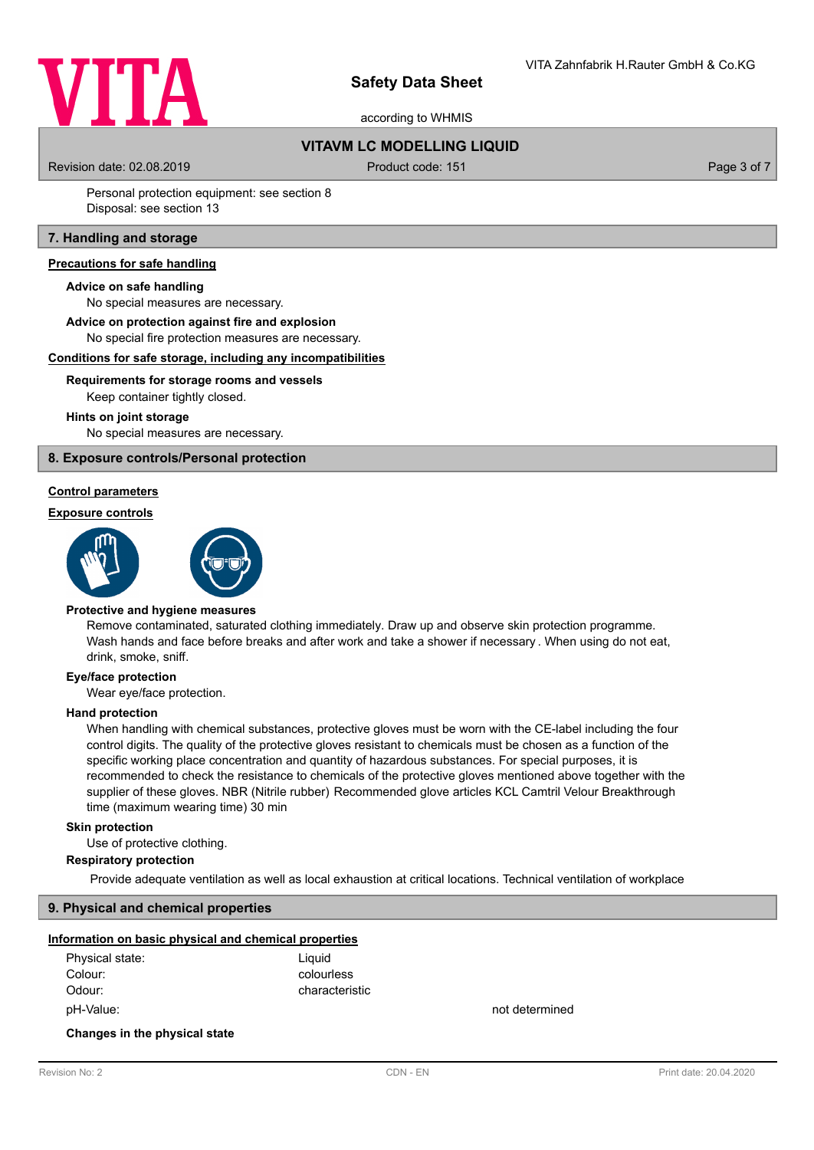

according to WHMIS

## **VITAVM LC MODELLING LIQUID**

Revision date: 02.08.2019 **Product code: 151** Product code: 151 **Page 3 of 7** Page 3 of 7

Personal protection equipment: see section 8 Disposal: see section 13

## **7. Handling and storage**

### **Precautions for safe handling**

#### **Advice on safe handling**

No special measures are necessary.

## **Advice on protection against fire and explosion**

No special fire protection measures are necessary.

#### **Conditions for safe storage, including any incompatibilities**

### **Requirements for storage rooms and vessels**

Keep container tightly closed.

#### **Hints on joint storage**

No special measures are necessary.

## **8. Exposure controls/Personal protection**

#### **Control parameters**

#### **Exposure controls**





#### **Protective and hygiene measures**

Remove contaminated, saturated clothing immediately. Draw up and observe skin protection programme. Wash hands and face before breaks and after work and take a shower if necessary . When using do not eat, drink, smoke, sniff.

#### **Eye/face protection**

Wear eye/face protection.

#### **Hand protection**

When handling with chemical substances, protective gloves must be worn with the CE-label including the four control digits. The quality of the protective gloves resistant to chemicals must be chosen as a function of the specific working place concentration and quantity of hazardous substances. For special purposes, it is recommended to check the resistance to chemicals of the protective gloves mentioned above together with the supplier of these gloves. NBR (Nitrile rubber) Recommended glove articles KCL Camtril Velour Breakthrough time (maximum wearing time) 30 min

#### **Skin protection**

Use of protective clothing.

## **Respiratory protection**

Provide adequate ventilation as well as local exhaustion at critical locations. Technical ventilation of workplace

## **9. Physical and chemical properties**

#### **Information on basic physical and chemical properties**

| Physical state: | Liquid         |
|-----------------|----------------|
| Colour:         | colourless     |
| Odour:          | characteristic |
| pH-Value:       |                |

not determined

#### **Changes in the physical state**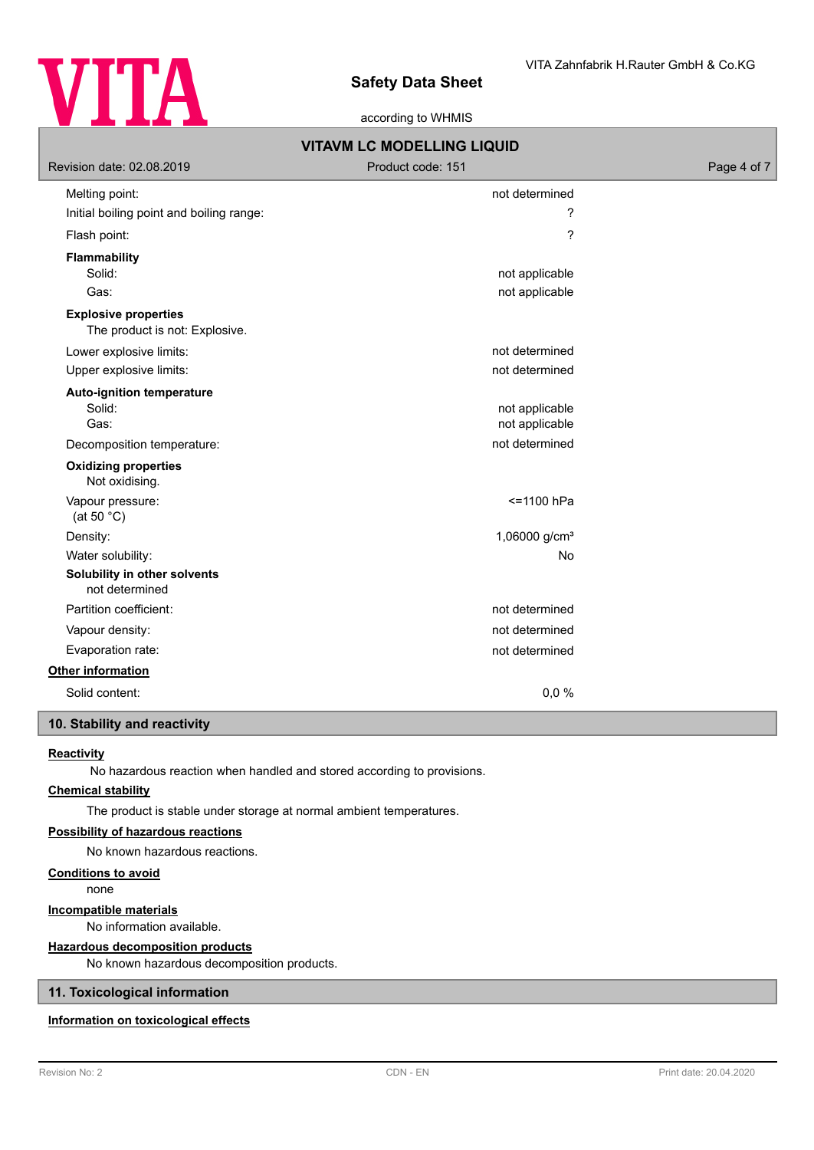

according to WHMIS

| <b>VITAVM LC MODELLING LIQUID</b>                             |                                  |             |  |
|---------------------------------------------------------------|----------------------------------|-------------|--|
| Revision date: 02.08.2019                                     | Product code: 151                | Page 4 of 7 |  |
| Melting point:                                                | not determined                   |             |  |
| Initial boiling point and boiling range:                      | ?                                |             |  |
| Flash point:                                                  | ?                                |             |  |
| <b>Flammability</b>                                           |                                  |             |  |
| Solid:                                                        | not applicable                   |             |  |
| Gas:                                                          | not applicable                   |             |  |
| <b>Explosive properties</b><br>The product is not: Explosive. |                                  |             |  |
| Lower explosive limits:                                       | not determined                   |             |  |
| Upper explosive limits:                                       | not determined                   |             |  |
| <b>Auto-ignition temperature</b><br>Solid:<br>Gas:            | not applicable<br>not applicable |             |  |
| Decomposition temperature:                                    | not determined                   |             |  |
| <b>Oxidizing properties</b><br>Not oxidising.                 |                                  |             |  |
| Vapour pressure:<br>(at 50 $°C$ )                             | <= 1100 hPa                      |             |  |
| Density:                                                      | 1,06000 g/cm <sup>3</sup>        |             |  |
| Water solubility:                                             | No                               |             |  |
| Solubility in other solvents<br>not determined                |                                  |             |  |
| Partition coefficient:                                        | not determined                   |             |  |
| Vapour density:                                               | not determined                   |             |  |
| Evaporation rate:                                             | not determined                   |             |  |
| Other information                                             |                                  |             |  |
| Solid content:                                                | 0,0%                             |             |  |

## **10. Stability and reactivity**

## **Reactivity**

No hazardous reaction when handled and stored according to provisions.

## **Chemical stability**

The product is stable under storage at normal ambient temperatures.

## **Possibility of hazardous reactions**

No known hazardous reactions.

## **Conditions to avoid**

none

## **Incompatible materials**

No information available.

## **Hazardous decomposition products**

No known hazardous decomposition products.

## **11. Toxicological information**

## **Information on toxicological effects**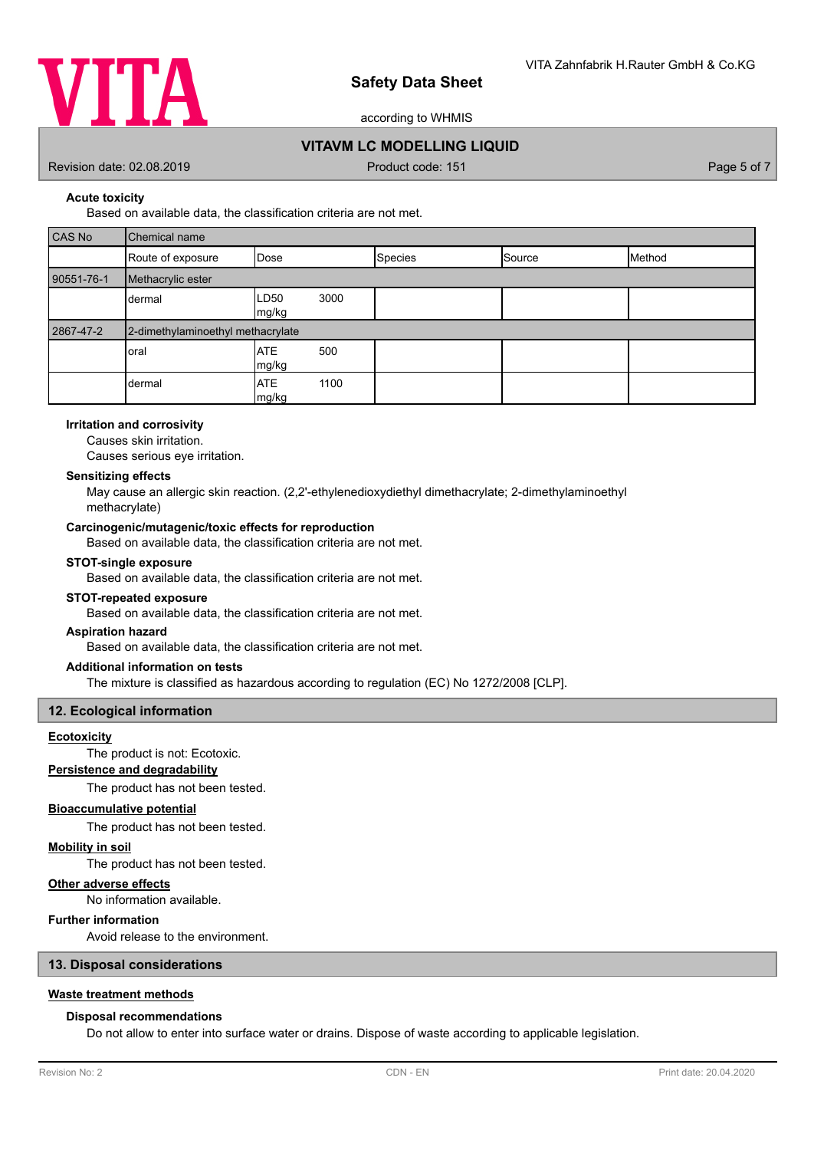

according to WHMIS

## **VITAVM LC MODELLING LIQUID**

Revision date: 02.08.2019 **Product code: 151** Product code: 151 **Page 5 of 7** Page 5 of 7

**Acute toxicity**

Based on available data, the classification criteria are not met.

| CAS No     | Chemical name                     |                            |                |        |        |
|------------|-----------------------------------|----------------------------|----------------|--------|--------|
|            | Route of exposure                 | Dose                       | <b>Species</b> | Source | Method |
| 90551-76-1 | Methacrylic ester                 |                            |                |        |        |
|            | dermal                            | 3000<br>LD50<br>mg/kg      |                |        |        |
| 2867-47-2  | 2-dimethylaminoethyl methacrylate |                            |                |        |        |
|            |                                   |                            |                |        |        |
|            | oral                              | <b>ATE</b><br>500<br>mg/kg |                |        |        |

#### **Irritation and corrosivity**

Causes skin irritation.

Causes serious eye irritation.

### **Sensitizing effects**

May cause an allergic skin reaction. (2,2'-ethylenedioxydiethyl dimethacrylate; 2-dimethylaminoethyl methacrylate)

### **Carcinogenic/mutagenic/toxic effects for reproduction**

Based on available data, the classification criteria are not met.

#### **STOT-single exposure**

Based on available data, the classification criteria are not met.

### **STOT-repeated exposure**

Based on available data, the classification criteria are not met.

#### **Aspiration hazard**

Based on available data, the classification criteria are not met.

## **Additional information on tests**

The mixture is classified as hazardous according to regulation (EC) No 1272/2008 [CLP].

#### **12. Ecological information**

## **Ecotoxicity**

The product is not: Ecotoxic.

## **Persistence and degradability**

The product has not been tested.

## **Bioaccumulative potential**

The product has not been tested.

#### **Mobility in soil**

The product has not been tested.

## **Other adverse effects**

No information available.

## **Further information**

Avoid release to the environment.

## **13. Disposal considerations**

## **Waste treatment methods**

#### **Disposal recommendations**

Do not allow to enter into surface water or drains. Dispose of waste according to applicable legislation.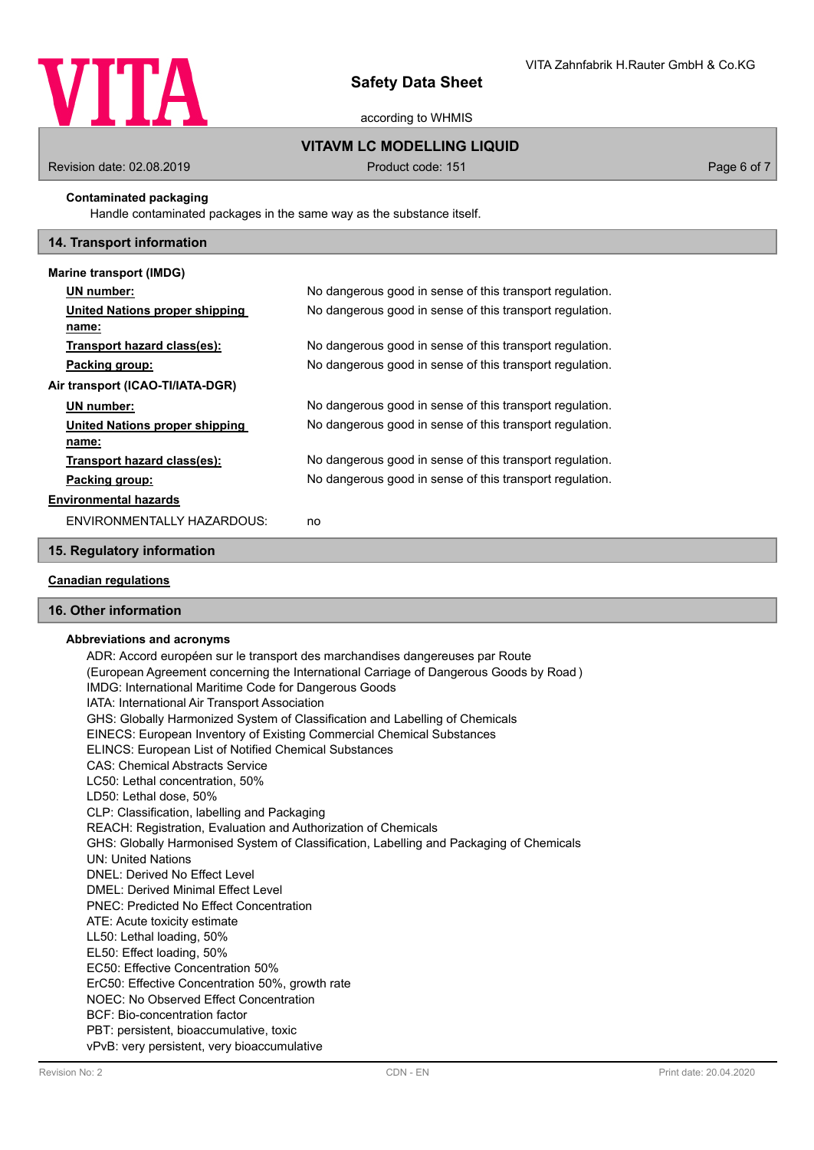

according to WHMIS

## **VITAVM LC MODELLING LIQUID**

Revision date: 02.08.2019 **Product code: 151** Product code: 151 **Page 6 of 7** Page 6 of 7

## **Contaminated packaging**

Handle contaminated packages in the same way as the substance itself.

### **14. Transport information**

| Marine transport (IMDG)          |                                                          |
|----------------------------------|----------------------------------------------------------|
| UN number:                       | No dangerous good in sense of this transport regulation. |
| United Nations proper shipping   | No dangerous good in sense of this transport regulation. |
| name:                            |                                                          |
| Transport hazard class(es):      | No dangerous good in sense of this transport regulation. |
| Packing group:                   | No dangerous good in sense of this transport regulation. |
| Air transport (ICAO-TI/IATA-DGR) |                                                          |
| UN number:                       | No dangerous good in sense of this transport regulation. |
| United Nations proper shipping   | No dangerous good in sense of this transport regulation. |
| name:                            |                                                          |
| Transport hazard class(es):      | No dangerous good in sense of this transport regulation. |
| Packing group:                   | No dangerous good in sense of this transport regulation. |
| <b>Environmental hazards</b>     |                                                          |
| ENVIRONMENTALLY HAZARDOUS:       | no                                                       |

## **15. Regulatory information**

## **Canadian regulations**

## **16. Other information**

#### **Abbreviations and acronyms**

ADR: Accord européen sur le transport des marchandises dangereuses par Route (European Agreement concerning the International Carriage of Dangerous Goods by Road ) IMDG: International Maritime Code for Dangerous Goods IATA: International Air Transport Association GHS: Globally Harmonized System of Classification and Labelling of Chemicals EINECS: European Inventory of Existing Commercial Chemical Substances ELINCS: European List of Notified Chemical Substances CAS: Chemical Abstracts Service LC50: Lethal concentration, 50% LD50: Lethal dose, 50% CLP: Classification, labelling and Packaging REACH: Registration, Evaluation and Authorization of Chemicals GHS: Globally Harmonised System of Classification, Labelling and Packaging of Chemicals UN: United Nations DNEL: Derived No Effect Level DMEL: Derived Minimal Effect Level PNEC: Predicted No Effect Concentration ATE: Acute toxicity estimate LL50: Lethal loading, 50% EL50: Effect loading, 50% EC50: Effective Concentration 50% ErC50: Effective Concentration 50%, growth rate NOEC: No Observed Effect Concentration BCF: Bio-concentration factor PBT: persistent, bioaccumulative, toxic vPvB: very persistent, very bioaccumulative